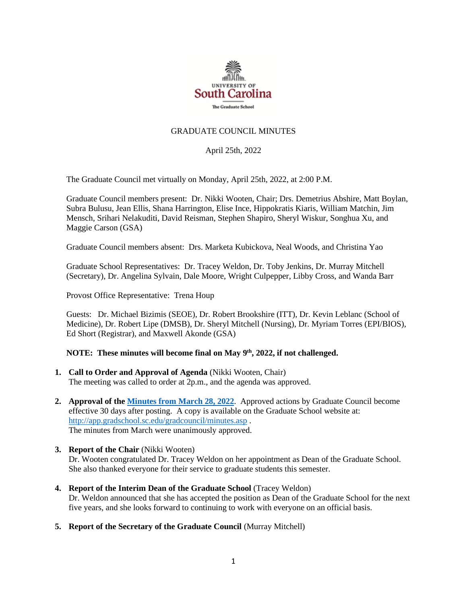

## GRADUATE COUNCIL MINUTES

April 25th, 2022

The Graduate Council met virtually on Monday, April 25th, 2022, at 2:00 P.M.

Graduate Council members present: Dr. Nikki Wooten, Chair; Drs. Demetrius Abshire, Matt Boylan, Subra Bulusu, Jean Ellis, Shana Harrington, Elise Ince, Hippokratis Kiaris, William Matchin, Jim Mensch, Srihari Nelakuditi, David Reisman, Stephen Shapiro, Sheryl Wiskur, Songhua Xu, and Maggie Carson (GSA)

Graduate Council members absent: Drs. Marketa Kubickova, Neal Woods, and Christina Yao

Graduate School Representatives: Dr. Tracey Weldon, Dr. Toby Jenkins, Dr. Murray Mitchell (Secretary), Dr. Angelina Sylvain, Dale Moore, Wright Culpepper, Libby Cross, and Wanda Barr

Provost Office Representative: Trena Houp

Guests: Dr. Michael Bizimis (SEOE), Dr. Robert Brookshire (ITT), Dr. Kevin Leblanc (School of Medicine), Dr. Robert Lipe (DMSB), Dr. Sheryl Mitchell (Nursing), Dr. Myriam Torres (EPI/BIOS), Ed Short (Registrar), and Maxwell Akonde (GSA)

### **NOTE: These minutes will become final on May 9th, 2022, if not challenged.**

- **1. Call to Order and Approval of Agenda** (Nikki Wooten, Chair) The meeting was called to order at 2p.m., and the agenda was approved.
- **2. Approval of th[e Minutes from March](file://///COSSLAOthello.ds.sc.edu/MIRROR/GRAD/WANDAB/Profile/Documents/Agendas%20and%20Minutes/GCMINUTES%203.28.22%20MM%20(003).pdf) 28, 2022**. Approved actions by Graduate Council become effective 30 days after posting. A copy is available on the Graduate School website at: <http://app.gradschool.sc.edu/gradcouncil/minutes.asp> . The minutes from March were unanimously approved.
- **3. Report of the Chair** (Nikki Wooten) Dr. Wooten congratulated Dr. Tracey Weldon on her appointment as Dean of the Graduate School. She also thanked everyone for their service to graduate students this semester.
- **4. Report of the Interim Dean of the Graduate School** (Tracey Weldon) Dr. Weldon announced that she has accepted the position as Dean of the Graduate School for the next five years, and she looks forward to continuing to work with everyone on an official basis.
- **5. Report of the Secretary of the Graduate Council** (Murray Mitchell)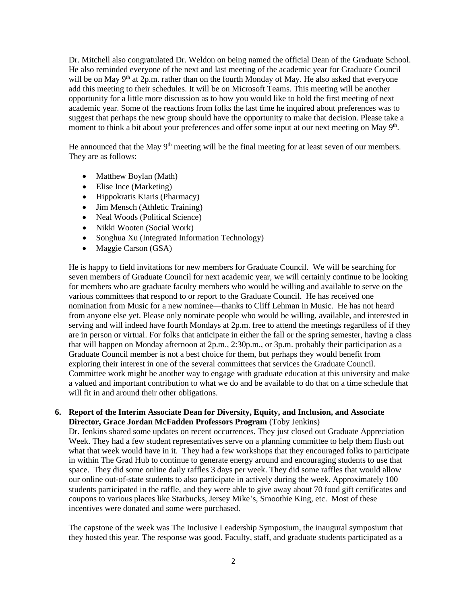Dr. Mitchell also congratulated Dr. Weldon on being named the official Dean of the Graduate School. He also reminded everyone of the next and last meeting of the academic year for Graduate Council will be on May  $9<sup>th</sup>$  at 2p.m. rather than on the fourth Monday of May. He also asked that everyone add this meeting to their schedules. It will be on Microsoft Teams. This meeting will be another opportunity for a little more discussion as to how you would like to hold the first meeting of next academic year. Some of the reactions from folks the last time he inquired about preferences was to suggest that perhaps the new group should have the opportunity to make that decision. Please take a moment to think a bit about your preferences and offer some input at our next meeting on May 9<sup>th</sup>.

He announced that the May  $9<sup>th</sup>$  meeting will be the final meeting for at least seven of our members. They are as follows:

- Matthew Boylan (Math)
- Elise Ince (Marketing)
- Hippokratis Kiaris (Pharmacy)
- Jim Mensch (Athletic Training)
- Neal Woods (Political Science)
- Nikki Wooten (Social Work)
- Songhua Xu (Integrated Information Technology)
- Maggie Carson (GSA)

He is happy to field invitations for new members for Graduate Council. We will be searching for seven members of Graduate Council for next academic year, we will certainly continue to be looking for members who are graduate faculty members who would be willing and available to serve on the various committees that respond to or report to the Graduate Council. He has received one nomination from Music for a new nominee—thanks to Cliff Lehman in Music. He has not heard from anyone else yet. Please only nominate people who would be willing, available, and interested in serving and will indeed have fourth Mondays at 2p.m. free to attend the meetings regardless of if they are in person or virtual. For folks that anticipate in either the fall or the spring semester, having a class that will happen on Monday afternoon at 2p.m., 2:30p.m., or 3p.m. probably their participation as a Graduate Council member is not a best choice for them, but perhaps they would benefit from exploring their interest in one of the several committees that services the Graduate Council. Committee work might be another way to engage with graduate education at this university and make a valued and important contribution to what we do and be available to do that on a time schedule that will fit in and around their other obligations.

## **6. Report of the Interim Associate Dean for Diversity, Equity, and Inclusion, and Associate Director, Grace Jordan McFadden Professors Program** (Toby Jenkins)

Dr. Jenkins shared some updates on recent occurrences. They just closed out Graduate Appreciation Week. They had a few student representatives serve on a planning committee to help them flush out what that week would have in it. They had a few workshops that they encouraged folks to participate in within The Grad Hub to continue to generate energy around and encouraging students to use that space. They did some online daily raffles 3 days per week. They did some raffles that would allow our online out-of-state students to also participate in actively during the week. Approximately 100 students participated in the raffle, and they were able to give away about 70 food gift certificates and coupons to various places like Starbucks, Jersey Mike's, Smoothie King, etc. Most of these incentives were donated and some were purchased.

The capstone of the week was The Inclusive Leadership Symposium, the inaugural symposium that they hosted this year. The response was good. Faculty, staff, and graduate students participated as a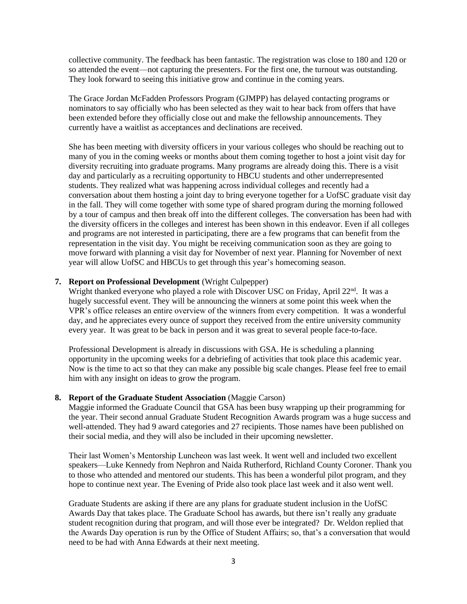collective community. The feedback has been fantastic. The registration was close to 180 and 120 or so attended the event—not capturing the presenters. For the first one, the turnout was outstanding. They look forward to seeing this initiative grow and continue in the coming years.

The Grace Jordan McFadden Professors Program (GJMPP) has delayed contacting programs or nominators to say officially who has been selected as they wait to hear back from offers that have been extended before they officially close out and make the fellowship announcements. They currently have a waitlist as acceptances and declinations are received.

She has been meeting with diversity officers in your various colleges who should be reaching out to many of you in the coming weeks or months about them coming together to host a joint visit day for diversity recruiting into graduate programs. Many programs are already doing this. There is a visit day and particularly as a recruiting opportunity to HBCU students and other underrepresented students. They realized what was happening across individual colleges and recently had a conversation about them hosting a joint day to bring everyone together for a UofSC graduate visit day in the fall. They will come together with some type of shared program during the morning followed by a tour of campus and then break off into the different colleges. The conversation has been had with the diversity officers in the colleges and interest has been shown in this endeavor. Even if all colleges and programs are not interested in participating, there are a few programs that can benefit from the representation in the visit day. You might be receiving communication soon as they are going to move forward with planning a visit day for November of next year. Planning for November of next year will allow UofSC and HBCUs to get through this year's homecoming season.

### **7. Report on Professional Development** (Wright Culpepper)

Wright thanked everyone who played a role with Discover USC on Friday, April  $22<sup>nd</sup>$ . It was a hugely successful event. They will be announcing the winners at some point this week when the VPR's office releases an entire overview of the winners from every competition. It was a wonderful day, and he appreciates every ounce of support they received from the entire university community every year. It was great to be back in person and it was great to several people face-to-face.

Professional Development is already in discussions with GSA. He is scheduling a planning opportunity in the upcoming weeks for a debriefing of activities that took place this academic year. Now is the time to act so that they can make any possible big scale changes. Please feel free to email him with any insight on ideas to grow the program.

#### **8. Report of the Graduate Student Association** (Maggie Carson)

Maggie informed the Graduate Council that GSA has been busy wrapping up their programming for the year. Their second annual Graduate Student Recognition Awards program was a huge success and well-attended. They had 9 award categories and 27 recipients. Those names have been published on their social media, and they will also be included in their upcoming newsletter.

Their last Women's Mentorship Luncheon was last week. It went well and included two excellent speakers—Luke Kennedy from Nephron and Naida Rutherford, Richland County Coroner. Thank you to those who attended and mentored our students. This has been a wonderful pilot program, and they hope to continue next year. The Evening of Pride also took place last week and it also went well.

Graduate Students are asking if there are any plans for graduate student inclusion in the UofSC Awards Day that takes place. The Graduate School has awards, but there isn't really any graduate student recognition during that program, and will those ever be integrated? Dr. Weldon replied that the Awards Day operation is run by the Office of Student Affairs; so, that's a conversation that would need to be had with Anna Edwards at their next meeting.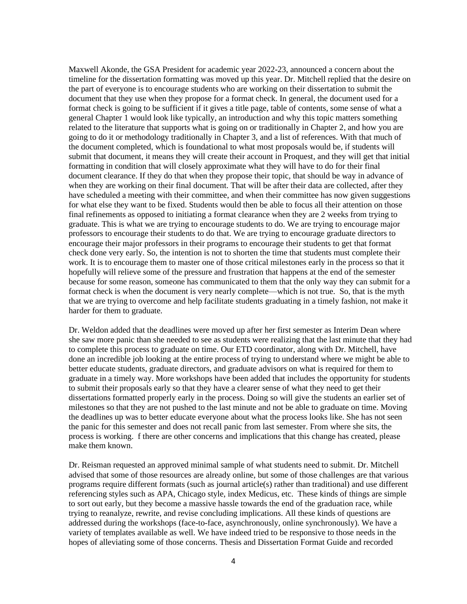Maxwell Akonde, the GSA President for academic year 2022-23, announced a concern about the timeline for the dissertation formatting was moved up this year. Dr. Mitchell replied that the desire on the part of everyone is to encourage students who are working on their dissertation to submit the document that they use when they propose for a format check. In general, the document used for a format check is going to be sufficient if it gives a title page, table of contents, some sense of what a general Chapter 1 would look like typically, an introduction and why this topic matters something related to the literature that supports what is going on or traditionally in Chapter 2, and how you are going to do it or methodology traditionally in Chapter 3, and a list of references. With that much of the document completed, which is foundational to what most proposals would be, if students will submit that document, it means they will create their account in Proquest, and they will get that initial formatting in condition that will closely approximate what they will have to do for their final document clearance. If they do that when they propose their topic, that should be way in advance of when they are working on their final document. That will be after their data are collected, after they have scheduled a meeting with their committee, and when their committee has now given suggestions for what else they want to be fixed. Students would then be able to focus all their attention on those final refinements as opposed to initiating a format clearance when they are 2 weeks from trying to graduate. This is what we are trying to encourage students to do. We are trying to encourage major professors to encourage their students to do that. We are trying to encourage graduate directors to encourage their major professors in their programs to encourage their students to get that format check done very early. So, the intention is not to shorten the time that students must complete their work. It is to encourage them to master one of those critical milestones early in the process so that it hopefully will relieve some of the pressure and frustration that happens at the end of the semester because for some reason, someone has communicated to them that the only way they can submit for a format check is when the document is very nearly complete—which is not true. So, that is the myth that we are trying to overcome and help facilitate students graduating in a timely fashion, not make it harder for them to graduate.

Dr. Weldon added that the deadlines were moved up after her first semester as Interim Dean where she saw more panic than she needed to see as students were realizing that the last minute that they had to complete this process to graduate on time. Our ETD coordinator, along with Dr. Mitchell, have done an incredible job looking at the entire process of trying to understand where we might be able to better educate students, graduate directors, and graduate advisors on what is required for them to graduate in a timely way. More workshops have been added that includes the opportunity for students to submit their proposals early so that they have a clearer sense of what they need to get their dissertations formatted properly early in the process. Doing so will give the students an earlier set of milestones so that they are not pushed to the last minute and not be able to graduate on time. Moving the deadlines up was to better educate everyone about what the process looks like. She has not seen the panic for this semester and does not recall panic from last semester. From where she sits, the process is working. f there are other concerns and implications that this change has created, please make them known.

Dr. Reisman requested an approved minimal sample of what students need to submit. Dr. Mitchell advised that some of those resources are already online, but some of those challenges are that various programs require different formats (such as journal article(s) rather than traditional) and use different referencing styles such as APA, Chicago style, index Medicus, etc. These kinds of things are simple to sort out early, but they become a massive hassle towards the end of the graduation race, while trying to reanalyze, rewrite, and revise concluding implications. All these kinds of questions are addressed during the workshops (face-to-face, asynchronously, online synchronously). We have a variety of templates available as well. We have indeed tried to be responsive to those needs in the hopes of alleviating some of those concerns. Thesis and Dissertation Format Guide and recorded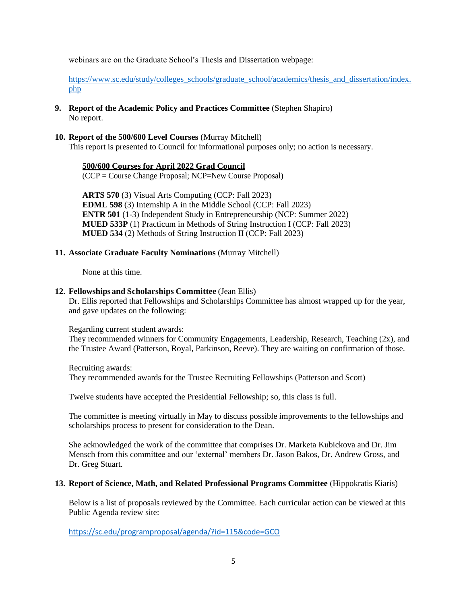webinars are on the Graduate School's Thesis and Dissertation webpage:

[https://www.sc.edu/study/colleges\\_schools/graduate\\_school/academics/thesis\\_and\\_dissertation/index.](https://www.sc.edu/study/colleges_schools/graduate_school/academics/thesis_and_dissertation/index.php) [php](https://www.sc.edu/study/colleges_schools/graduate_school/academics/thesis_and_dissertation/index.php)

- **9. Report of the Academic Policy and Practices Committee** (Stephen Shapiro) No report.
- **10. Report of the 500/600 Level Courses** (Murray Mitchell) This report is presented to Council for informational purposes only; no action is necessary.

### **500/600 Courses for April 2022 Grad Council**

(CCP = Course Change Proposal; NCP=New Course Proposal)

**ARTS 570** (3) Visual Arts Computing (CCP: Fall 2023) **EDML 598** (3) Internship A in the Middle School (CCP: Fall 2023) **ENTR 501** (1-3) Independent Study in Entrepreneurship (NCP: Summer 2022) **MUED 533P** (1) Practicum in Methods of String Instruction I (CCP: Fall 2023) **MUED 534** (2) Methods of String Instruction II (CCP: Fall 2023)

### **11. Associate Graduate Faculty Nominations** (Murray Mitchell)

None at this time.

### **12. Fellowships and Scholarships Committee** (Jean Ellis)

Dr. Ellis reported that Fellowships and Scholarships Committee has almost wrapped up for the year, and gave updates on the following:

Regarding current student awards:

They recommended winners for Community Engagements, Leadership, Research, Teaching (2x), and the Trustee Award (Patterson, Royal, Parkinson, Reeve). They are waiting on confirmation of those.

Recruiting awards: They recommended awards for the Trustee Recruiting Fellowships (Patterson and Scott)

Twelve students have accepted the Presidential Fellowship; so, this class is full.

The committee is meeting virtually in May to discuss possible improvements to the fellowships and scholarships process to present for consideration to the Dean.

She acknowledged the work of the committee that comprises Dr. Marketa Kubickova and Dr. Jim Mensch from this committee and our 'external' members Dr. Jason Bakos, Dr. Andrew Gross, and Dr. Greg Stuart.

### **13. Report of Science, Math, and Related Professional Programs Committee** (Hippokratis Kiaris)

Below is a list of proposals reviewed by the Committee. Each curricular action can be viewed at this Public Agenda review site:

<https://sc.edu/programproposal/agenda/?id=115&code=GCO>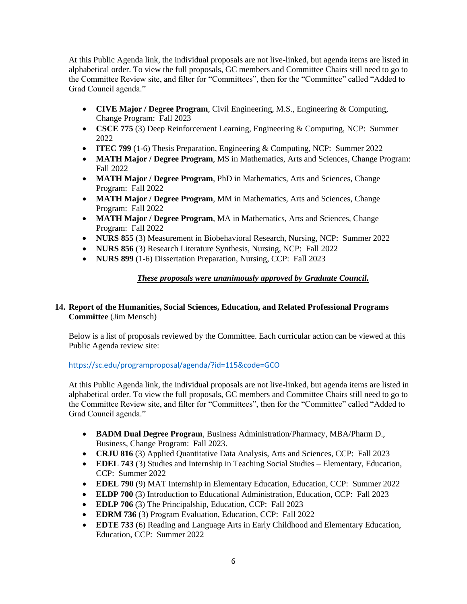At this Public Agenda link, the individual proposals are not live-linked, but agenda items are listed in alphabetical order. To view the full proposals, GC members and Committee Chairs still need to go to the Committee Review site, and filter for "Committees", then for the "Committee" called "Added to Grad Council agenda."

- **CIVE Major / Degree Program**, Civil Engineering, M.S., Engineering & Computing, Change Program: Fall 2023
- **CSCE 775** (3) Deep Reinforcement Learning, Engineering & Computing, NCP: Summer 2022
- **ITEC 799** (1-6) Thesis Preparation, Engineering & Computing, NCP: Summer 2022
- **MATH Major / Degree Program, MS** in Mathematics, Arts and Sciences, Change Program: Fall 2022
- **MATH Major / Degree Program**, PhD in Mathematics, Arts and Sciences, Change Program: Fall 2022
- **MATH Major / Degree Program**, MM in Mathematics, Arts and Sciences, Change Program: Fall 2022
- **MATH Major / Degree Program**, MA in Mathematics, Arts and Sciences, Change Program: Fall 2022
- **NURS 855** (3) Measurement in Biobehavioral Research, Nursing, NCP: Summer 2022
- **NURS 856** (3) Research Literature Synthesis, Nursing, NCP: Fall 2022
- **NURS 899** (1-6) Dissertation Preparation, Nursing, CCP: Fall 2023

# *These proposals were unanimously approved by Graduate Council.*

# **14. Report of the Humanities, Social Sciences, Education, and Related Professional Programs Committee** (Jim Mensch)

Below is a list of proposals reviewed by the Committee. Each curricular action can be viewed at this Public Agenda review site:

## <https://sc.edu/programproposal/agenda/?id=115&code=GCO>

At this Public Agenda link, the individual proposals are not live-linked, but agenda items are listed in alphabetical order. To view the full proposals, GC members and Committee Chairs still need to go to the Committee Review site, and filter for "Committees", then for the "Committee" called "Added to Grad Council agenda."

- **BADM Dual Degree Program**, Business Administration/Pharmacy, MBA/Pharm D., Business, Change Program: Fall 2023.
- **CRJU 816** (3) Applied Quantitative Data Analysis, Arts and Sciences, CCP: Fall 2023
- **EDEL 743** (3) Studies and Internship in Teaching Social Studies Elementary, Education, CCP: Summer 2022
- **EDEL 790** (9) MAT Internship in Elementary Education, Education, CCP: Summer 2022
- **ELDP 700** (3) Introduction to Educational Administration, Education, CCP: Fall 2023
- **EDLP 706** (3) The Principalship, Education, CCP: Fall 2023
- **EDRM 736** (3) Program Evaluation, Education, CCP: Fall 2022
- **EDTE 733** (6) Reading and Language Arts in Early Childhood and Elementary Education, Education, CCP: Summer 2022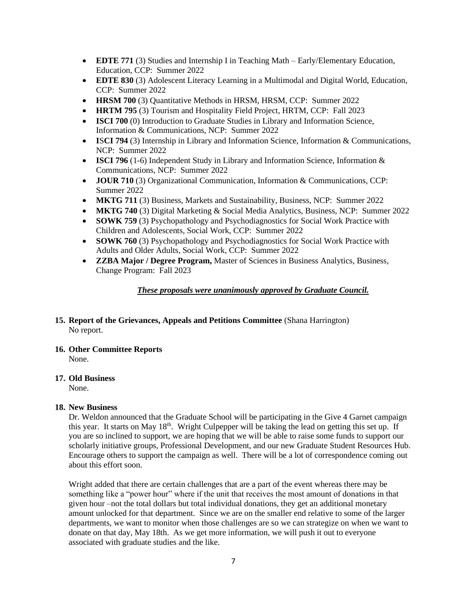- **EDTE 771** (3) Studies and Internship I in Teaching Math Early/Elementary Education, Education, CCP: Summer 2022
- **EDTE 830** (3) Adolescent Literacy Learning in a Multimodal and Digital World, Education, CCP: Summer 2022
- **HRSM 700** (3) Quantitative Methods in HRSM, HRSM, CCP: Summer 2022
- **HRTM 795** (3) Tourism and Hospitality Field Project, HRTM, CCP: Fall 2023
- **ISCI 700** (0) Introduction to Graduate Studies in Library and Information Science, Information & Communications, NCP: Summer 2022
- **I**S**CI 794** (3) Internship in Library and Information Science, Information & Communications, NCP: Summer 2022
- **ISCI 796** (1-6) Independent Study in Library and Information Science, Information & Communications, NCP: Summer 2022
- **JOUR 710** (3) Organizational Communication, Information & Communications, CCP: Summer 2022
- **MKTG 711** (3) Business, Markets and Sustainability, Business, NCP: Summer 2022
- **MKTG 740** (3) Digital Marketing & Social Media Analytics, Business, NCP: Summer 2022
- **SOWK 759** (3) Psychopathology and Psychodiagnostics for Social Work Practice with Children and Adolescents, Social Work, CCP: Summer 2022
- **SOWK 760** (3) Psychopathology and Psychodiagnostics for Social Work Practice with Adults and Older Adults, Social Work, CCP: Summer 2022
- **ZZBA Major / Degree Program,** Master of Sciences in Business Analytics, Business, Change Program: Fall 2023

# *These proposals were unanimously approved by Graduate Council.*

## **15. Report of the Grievances, Appeals and Petitions Committee** (Shana Harrington) No report.

## **16. Other Committee Reports** None.

## **17. Old Business**

None.

## **18. New Business**

Dr. Weldon announced that the Graduate School will be participating in the Give 4 Garnet campaign this year. It starts on May 18<sup>th</sup>. Wright Culpepper will be taking the lead on getting this set up. If you are so inclined to support, we are hoping that we will be able to raise some funds to support our scholarly initiative groups, Professional Development, and our new Graduate Student Resources Hub. Encourage others to support the campaign as well. There will be a lot of correspondence coming out about this effort soon.

Wright added that there are certain challenges that are a part of the event whereas there may be something like a "power hour" where if the unit that receives the most amount of donations in that given hour –not the total dollars but total individual donations, they get an additional monetary amount unlocked for that department. Since we are on the smaller end relative to some of the larger departments, we want to monitor when those challenges are so we can strategize on when we want to donate on that day, May 18th. As we get more information, we will push it out to everyone associated with graduate studies and the like.